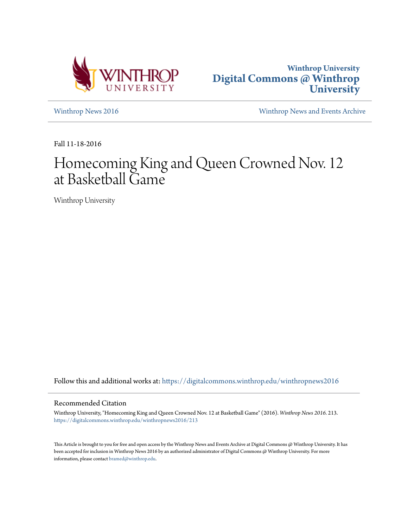



[Winthrop News 2016](https://digitalcommons.winthrop.edu/winthropnews2016?utm_source=digitalcommons.winthrop.edu%2Fwinthropnews2016%2F213&utm_medium=PDF&utm_campaign=PDFCoverPages) [Winthrop News and Events Archive](https://digitalcommons.winthrop.edu/winthropnewsarchives?utm_source=digitalcommons.winthrop.edu%2Fwinthropnews2016%2F213&utm_medium=PDF&utm_campaign=PDFCoverPages)

Fall 11-18-2016

# Homecoming King and Queen Crowned Nov. 12 at Basketball Game

Winthrop University

Follow this and additional works at: [https://digitalcommons.winthrop.edu/winthropnews2016](https://digitalcommons.winthrop.edu/winthropnews2016?utm_source=digitalcommons.winthrop.edu%2Fwinthropnews2016%2F213&utm_medium=PDF&utm_campaign=PDFCoverPages)

## Recommended Citation

Winthrop University, "Homecoming King and Queen Crowned Nov. 12 at Basketball Game" (2016). *Winthrop News 2016*. 213. [https://digitalcommons.winthrop.edu/winthropnews2016/213](https://digitalcommons.winthrop.edu/winthropnews2016/213?utm_source=digitalcommons.winthrop.edu%2Fwinthropnews2016%2F213&utm_medium=PDF&utm_campaign=PDFCoverPages)

This Article is brought to you for free and open access by the Winthrop News and Events Archive at Digital Commons @ Winthrop University. It has been accepted for inclusion in Winthrop News 2016 by an authorized administrator of Digital Commons @ Winthrop University. For more information, please contact [bramed@winthrop.edu](mailto:bramed@winthrop.edu).